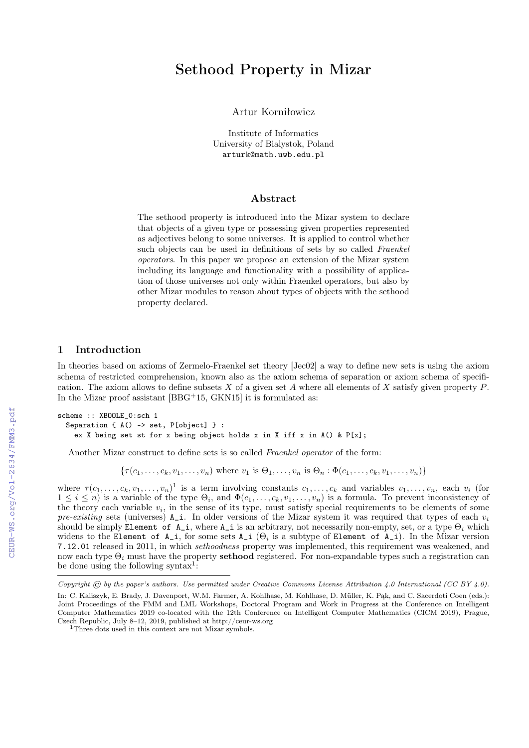# Sethood Property in Mizar

Artur Korniłowicz

Institute of Informatics University of Bialystok, Poland arturk@math.uwb.edu.pl

#### Abstract

The sethood property is introduced into the Mizar system to declare that objects of a given type or possessing given properties represented as adjectives belong to some universes. It is applied to control whether such objects can be used in definitions of sets by so called Fraenkel operators. In this paper we propose an extension of the Mizar system including its language and functionality with a possibility of application of those universes not only within Fraenkel operators, but also by other Mizar modules to reason about types of objects with the sethood property declared.

## 1 Introduction

In theories based on axioms of Zermelo-Fraenkel set theory [Jec02] a way to define new sets is using the axiom schema of restricted comprehension, known also as the axiom schema of separation or axiom schema of specification. The axiom allows to define subsets  $X$  of a given set  $A$  where all elements of  $X$  satisfy given property  $P$ . In the Mizar proof assistant [BBG<sup>+</sup>15, GKN15] it is formulated as:

scheme :: XBOOLE\_0:sch 1 Separation { $A() \rightarrow set, P[object]$ }: ex X being set st for x being object holds x in X iff x in  $A()$  &  $P[x]$ ;

Another Mizar construct to define sets is so called Fraenkel operator of the form:

 $\{\tau(c_1, \ldots, c_k, v_1, \ldots, v_n) \text{ where } v_1 \text{ is } \Theta_1, \ldots, v_n \text{ is } \Theta_n : \Phi(c_1, \ldots, c_k, v_1, \ldots, v_n)\}\$ 

where  $\tau(c_1,\ldots,c_k,v_1,\ldots,v_n)^1$  is a term involving constants  $c_1,\ldots,c_k$  and variables  $v_1,\ldots,v_n$ , each  $v_i$  (for  $1 \leq i \leq n$ ) is a variable of the type  $\Theta_i$ , and  $\Phi(c_1, \ldots, c_k, v_1, \ldots, v_n)$  is a formula. To prevent inconsistency of the theory each variable  $v_i$ , in the sense of its type, must satisfy special requirements to be elements of some pre-existing sets (universes)  $A_i$ . In older versions of the Mizar system it was required that types of each  $v_i$ should be simply Element of A<sub>i</sub>, where A<sub>i</sub> is an arbitrary, not necessarily non-empty, set, or a type  $\Theta_i$  which widens to the Element of  $A_i$ , for some sets  $A_i$  ( $\Theta_i$  is a subtype of Element of  $A_i$ ). In the Mizar version 7.12.01 released in 2011, in which sethoodness property was implemented, this requirement was weakened, and now each type  $\Theta_i$  must have the property **sethood** registered. For non-expandable types such a registration can be done using the following syntax<sup>1</sup>:

Copyright © by the paper's authors. Use permitted under Creative Commons License Attribution 4.0 International (CC BY 4.0).

In: C. Kaliszyk, E. Brady, J. Davenport, W.M. Farmer, A. Kohlhase, M. Kohlhase, D. Müller, K. Pąk, and C. Sacerdoti Coen (eds.): Joint Proceedings of the FMM and LML Workshops, Doctoral Program and Work in Progress at the Conference on Intelligent Computer Mathematics 2019 co-located with the 12th Conference on Intelligent Computer Mathematics (CICM 2019), Prague, Czech Republic, July 8–12, 2019, published at http://ceur-ws.org

<sup>&</sup>lt;sup>1</sup>Three dots used in this context are not Mizar symbols.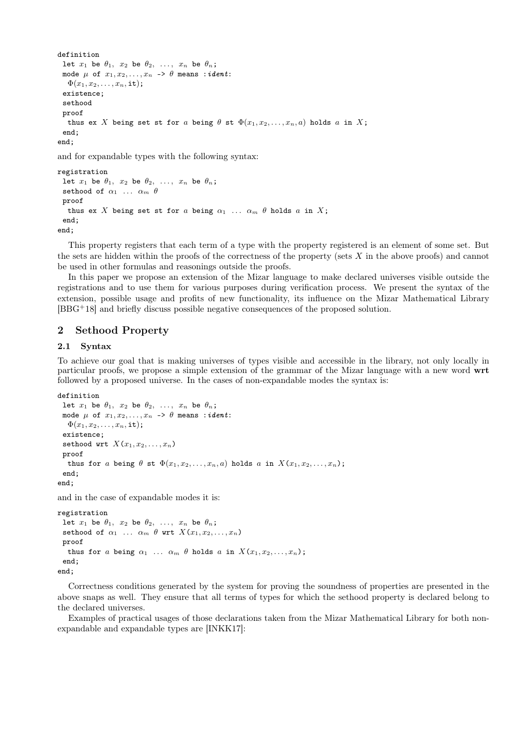```
definition
 let x_1 be \theta_1, x_2 be \theta_2, ..., x_n be \theta_n;
 mode \mu of x_1, x_2, \ldots, x_n \rightarrow \theta means : ident:
   \Phi(x_1, x_2, \ldots, x_n, \text{it});
 existence;
 sethood
 proof
   thus ex X being set st for a being \theta st \Phi(x_1, x_2, \ldots, x_n, a) holds a in X;
 end;
end;
```
and for expandable types with the following syntax:

```
registration
 let x_1 be \theta_1, x_2 be \theta_2, ..., x_n be \theta_n;
 sethood of \alpha_1 ... \alpha_m \thetaproof
   thus ex X being set st for a being \alpha_1 ... \alpha_m \theta holds a in X;
 end;
end;
```
This property registers that each term of a type with the property registered is an element of some set. But the sets are hidden within the proofs of the correctness of the property (sets X in the above proofs) and cannot be used in other formulas and reasonings outside the proofs.

In this paper we propose an extension of the Mizar language to make declared universes visible outside the registrations and to use them for various purposes during verification process. We present the syntax of the extension, possible usage and profits of new functionality, its influence on the Mizar Mathematical Library [BBG<sup>+</sup>18] and briefly discuss possible negative consequences of the proposed solution.

## 2 Sethood Property

### 2.1 Syntax

To achieve our goal that is making universes of types visible and accessible in the library, not only locally in particular proofs, we propose a simple extension of the grammar of the Mizar language with a new word wrt followed by a proposed universe. In the cases of non-expandable modes the syntax is:

```
definition
 let x_1 be \theta_1, x_2 be \theta_2, ..., x_n be \theta_n;
 mode \mu of x_1, x_2, \ldots, x_n -> \theta means : ident:
   \Phi(x_1, x_2, \ldots, x_n, \text{it});existence;
 sethood wrt X(x_1, x_2, \ldots, x_n)proof
   thus for a being \theta st \Phi(x_1, x_2, \ldots, x_n, a) holds a in X(x_1, x_2, \ldots, x_n);
 end;
end;
```
and in the case of expandable modes it is:

```
registration
 let x_1 be \theta_1, x_2 be \theta_2, ..., x_n be \theta_n;
 sethood of \alpha_1 ... \alpha_m \theta wrt X(x_1, x_2, \ldots, x_n)proof
   thus for a being \alpha_1 ... \alpha_m \theta holds a in X(x_1, x_2, \ldots, x_n);
 end;
end;
```
Correctness conditions generated by the system for proving the soundness of properties are presented in the above snaps as well. They ensure that all terms of types for which the sethood property is declared belong to the declared universes.

Examples of practical usages of those declarations taken from the Mizar Mathematical Library for both nonexpandable and expandable types are [INKK17]: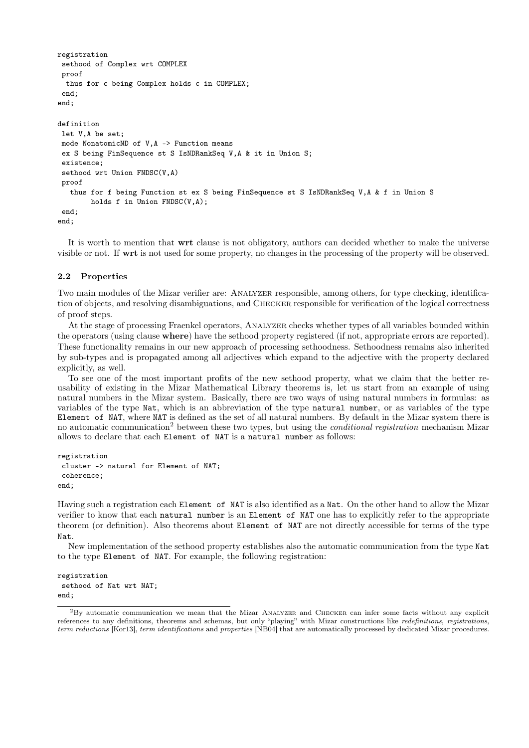```
registration
 sethood of Complex wrt COMPLEX
 proof
 thus for c being Complex holds c in COMPLEX;
 end;
end;
definition
let V,A be set;
mode NonatomicND of V,A -> Function means
 ex S being FinSequence st S IsNDRankSeq V,A & it in Union S;
 existence;
 sethood wrt Union FNDSC(V,A)
proof
   thus for f being Function st ex S being FinSequence st S IsNDRankSeq V,A & f in Union S
        holds f in Union FNDSC(V,A);
 end;
end;
```
It is worth to mention that wrt clause is not obligatory, authors can decided whether to make the universe visible or not. If wrt is not used for some property, no changes in the processing of the property will be observed.

#### 2.2 Properties

Two main modules of the Mizar verifier are: Analyzer responsible, among others, for type checking, identification of objects, and resolving disambiguations, and Checker responsible for verification of the logical correctness of proof steps.

At the stage of processing Fraenkel operators, Analyzer checks whether types of all variables bounded within the operators (using clause where) have the sethood property registered (if not, appropriate errors are reported). These functionality remains in our new approach of processing sethoodness. Sethoodness remains also inherited by sub-types and is propagated among all adjectives which expand to the adjective with the property declared explicitly, as well.

To see one of the most important profits of the new sethood property, what we claim that the better reusability of existing in the Mizar Mathematical Library theorems is, let us start from an example of using natural numbers in the Mizar system. Basically, there are two ways of using natural numbers in formulas: as variables of the type Nat, which is an abbreviation of the type natural number, or as variables of the type Element of NAT, where NAT is defined as the set of all natural numbers. By default in the Mizar system there is no automatic communication<sup>2</sup> between these two types, but using the *conditional registration* mechanism Mizar allows to declare that each Element of NAT is a natural number as follows:

```
registration
 cluster -> natural for Element of NAT;
 coherence;
end;
```
Having such a registration each Element of NAT is also identified as a Nat. On the other hand to allow the Mizar verifier to know that each natural number is an Element of NAT one has to explicitly refer to the appropriate theorem (or definition). Also theorems about Element of NAT are not directly accessible for terms of the type Nat.

New implementation of the sethood property establishes also the automatic communication from the type Nat to the type Element of NAT. For example, the following registration:

registration sethood of Nat wrt NAT; end;

<sup>2</sup>By automatic communication we mean that the Mizar Analyzer and Checker can infer some facts without any explicit references to any definitions, theorems and schemas, but only "playing" with Mizar constructions like redefinitions, registrations, term reductions [Kor13], term identifications and properties [NB04] that are automatically processed by dedicated Mizar procedures.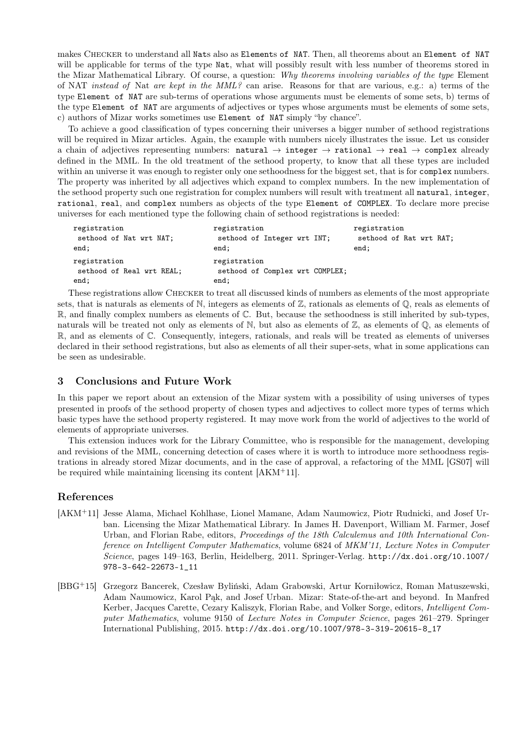makes Checker to understand all Nats also as Elements of NAT. Then, all theorems about an Element of NAT will be applicable for terms of the type Nat, what will possibly result with less number of theorems stored in the Mizar Mathematical Library. Of course, a question: Why theorems involving variables of the type Element of NAT instead of Nat are kept in the MML? can arise. Reasons for that are various, e.g.: a) terms of the type Element of NAT are sub-terms of operations whose arguments must be elements of some sets, b) terms of the type Element of NAT are arguments of adjectives or types whose arguments must be elements of some sets, c) authors of Mizar works sometimes use Element of NAT simply "by chance".

To achieve a good classification of types concerning their universes a bigger number of sethood registrations will be required in Mizar articles. Again, the example with numbers nicely illustrates the issue. Let us consider a chain of adjectives representing numbers:  $natural \rightarrow integral \rightarrow rational \rightarrow real \rightarrow complex$  already defined in the MML. In the old treatment of the sethood property, to know that all these types are included within an universe it was enough to register only one sethoodness for the biggest set, that is for complex numbers. The property was inherited by all adjectives which expand to complex numbers. In the new implementation of the sethood property such one registration for complex numbers will result with treatment all natural, integer, rational, real, and complex numbers as objects of the type Element of COMPLEX. To declare more precise universes for each mentioned type the following chain of sethood registrations is needed:

| registration                                      | registration                                            | registration            |
|---------------------------------------------------|---------------------------------------------------------|-------------------------|
| sethood of Nat wrt NAT;                           | sethood of Integer wrt INT;                             | sethood of Rat wrt RAT; |
| end;                                              | end;                                                    | end;                    |
| registration<br>sethood of Real wrt REAL;<br>end; | registration<br>sethood of Complex wrt COMPLEX;<br>end; |                         |

These registrations allow Checker to treat all discussed kinds of numbers as elements of the most appropriate sets, that is naturals as elements of  $\mathbb{N}$ , integers as elements of  $\mathbb{Z}$ , rationals as elements of  $\mathbb{Q}$ , reals as elements of R, and finally complex numbers as elements of C. But, because the sethoodness is still inherited by sub-types, naturals will be treated not only as elements of  $\mathbb{N}$ , but also as elements of  $\mathbb{Z}$ , as elements of  $\mathbb{Q}$ , as elements of R, and as elements of C. Consequently, integers, rationals, and reals will be treated as elements of universes declared in their sethood registrations, but also as elements of all their super-sets, what in some applications can be seen as undesirable.

# 3 Conclusions and Future Work

In this paper we report about an extension of the Mizar system with a possibility of using universes of types presented in proofs of the sethood property of chosen types and adjectives to collect more types of terms which basic types have the sethood property registered. It may move work from the world of adjectives to the world of elements of appropriate universes.

This extension induces work for the Library Committee, who is responsible for the management, developing and revisions of the MML, concerning detection of cases where it is worth to introduce more sethoodness registrations in already stored Mizar documents, and in the case of approval, a refactoring of the MML [GS07] will be required while maintaining licensing its content [AKM<sup>+</sup>11].

# References

- [AKM<sup>+</sup>11] Jesse Alama, Michael Kohlhase, Lionel Mamane, Adam Naumowicz, Piotr Rudnicki, and Josef Urban. Licensing the Mizar Mathematical Library. In James H. Davenport, William M. Farmer, Josef Urban, and Florian Rabe, editors, *Proceedings of the 18th Calculemus and 10th International Con*ference on Intelligent Computer Mathematics, volume 6824 of MKM'11, Lecture Notes in Computer Science, pages 149–163, Berlin, Heidelberg, 2011. Springer-Verlag. http://dx.doi.org/10.1007/ 978-3-642-22673-1\_11
- [BBG<sup>+</sup>15] Grzegorz Bancerek, Czesław Byliński, Adam Grabowski, Artur Korniłowicz, Roman Matuszewski, Adam Naumowicz, Karol Pąk, and Josef Urban. Mizar: State-of-the-art and beyond. In Manfred Kerber, Jacques Carette, Cezary Kaliszyk, Florian Rabe, and Volker Sorge, editors, Intelligent Computer Mathematics, volume 9150 of Lecture Notes in Computer Science, pages 261–279. Springer International Publishing, 2015. http://dx.doi.org/10.1007/978-3-319-20615-8\_17